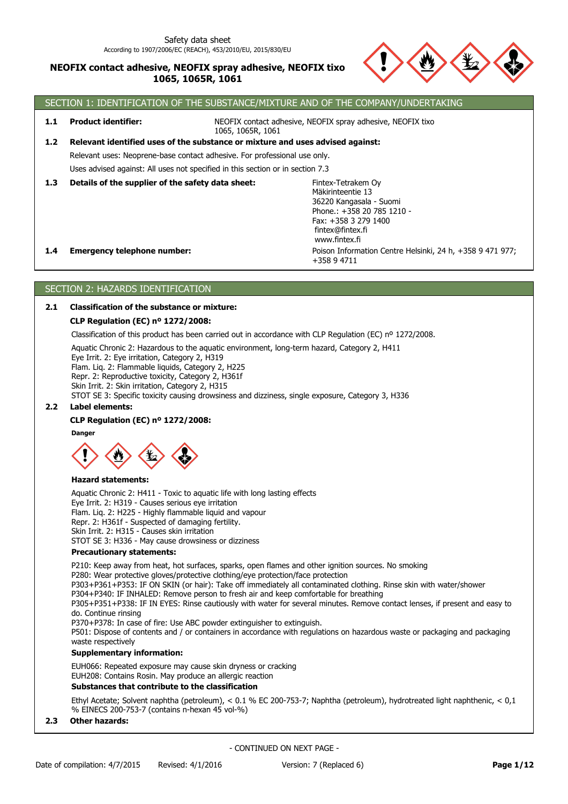

# SECTION 1: IDENTIFICATION OF THE SUBSTANCE/MIXTURE AND OF THE COMPANY/UNDERTAKING

- **1.1 Product identifier:**
- NEOFIX contact adhesive, NEOFIX spray adhesive, NEOFIX tixo 1065, 1065R, 1061

# Uses advised against: All uses not specified in this section or in section 7.3 Relevant uses: Neoprene-base contact adhesive. For professional use only. **1.2 Relevant identified uses of the substance or mixture and uses advised against:**

**1.3 Details of the supplier of the safety data sheet:**

Poison Information Centre Helsinki, 24 h, +358 9 471 977; +358 9 4711 Fintex-Tetrakem Oy Mäkirinteentie 13 36220 Kangasala - Suomi Phone.: +358 20 785 1210 - Fax: +358 3 279 1400 fintex@fintex.fi www.fintex.fi

### **1.4 Emergency telephone number:**

SECTION 2: HAZARDS IDENTIFICATION

## **2.1 Classification of the substance or mixture:**

### **CLP Regulation (EC) nº 1272/2008:**

Classification of this product has been carried out in accordance with CLP Regulation (EC) nº 1272/2008.

Aquatic Chronic 2: Hazardous to the aquatic environment, long-term hazard, Category 2, H411

Eye Irrit. 2: Eye irritation, Category 2, H319 Flam. Liq. 2: Flammable liquids, Category 2, H225 Repr. 2: Reproductive toxicity, Category 2, H361f Skin Irrit. 2: Skin irritation, Category 2, H315 STOT SE 3: Specific toxicity causing drowsiness and dizziness, single exposure, Category 3, H336

## **2.2 Label elements:**

## **CLP Regulation (EC) nº 1272/2008:**

Danger



### **Hazard statements:**

Aquatic Chronic 2: H411 - Toxic to aquatic life with long lasting effects Eye Irrit. 2: H319 - Causes serious eye irritation Flam. Liq. 2: H225 - Highly flammable liquid and vapour Repr. 2: H361f - Suspected of damaging fertility.

Skin Irrit. 2: H315 - Causes skin irritation

STOT SE 3: H336 - May cause drowsiness or dizziness

### **Precautionary statements:**

P210: Keep away from heat, hot surfaces, sparks, open flames and other ignition sources. No smoking

P280: Wear protective gloves/protective clothing/eye protection/face protection

P303+P361+P353: IF ON SKIN (or hair): Take off immediately all contaminated clothing. Rinse skin with water/shower

P304+P340: IF INHALED: Remove person to fresh air and keep comfortable for breathing

P305+P351+P338: IF IN EYES: Rinse cautiously with water for several minutes. Remove contact lenses, if present and easy to do. Continue rinsing

P370+P378: In case of fire: Use ABC powder extinguisher to extinguish.

P501: Dispose of contents and / or containers in accordance with regulations on hazardous waste or packaging and packaging waste respectively

### **Supplementary information:**

EUH066: Repeated exposure may cause skin dryness or cracking EUH208: Contains Rosin. May produce an allergic reaction

### **Substances that contribute to the classification**

Ethyl Acetate; Solvent naphtha (petroleum), < 0.1 % EC 200-753-7; Naphtha (petroleum), hydrotreated light naphthenic, < 0,1 % EINECS 200-753-7 (contains n-hexan 45 vol-%)

### **2.3 Other hazards:**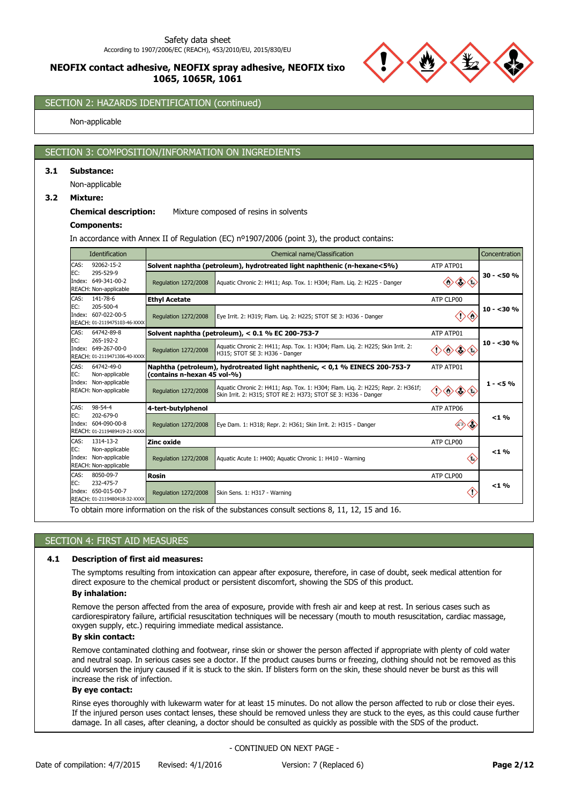

# SECTION 2: HAZARDS IDENTIFICATION (continued)

Non-applicable

## SECTION 3: COMPOSITION/INFORMATION ON INGREDIENTS

### **3.1 Substance:**

Non-applicable

#### **3.2 Mixture:**

#### **Chemical description:** Mixture composed of resins in solvents

# **Components:**

In accordance with Annex II of Regulation (EC) nº1907/2006 (point 3), the product contains:

|               | <b>Identification</b>                                                          |                             | Chemical name/Classification                                                                                                                         |           | Concentration |
|---------------|--------------------------------------------------------------------------------|-----------------------------|------------------------------------------------------------------------------------------------------------------------------------------------------|-----------|---------------|
| CAS:<br>EC:   | 92062-15-2<br>295-529-9                                                        |                             | Solvent naphtha (petroleum), hydrotreated light naphthenic (n-hexane<5%)                                                                             | ATP ATP01 | $30 - 50 \%$  |
|               | Index: 649-341-00-2<br>REACH: Non-applicable                                   | Regulation 1272/2008        | Aquatic Chronic 2: H411; Asp. Tox. 1: H304; Flam. Lig. 2: H225 - Danger                                                                              | ◇         |               |
| CAS:          | 141-78-6                                                                       | <b>Ethyl Acetate</b>        |                                                                                                                                                      | ATP CLP00 |               |
| EC:           | 205-500-4<br>Index: 607-022-00-5<br>REACH: 01-2119475103-46-XXXX               | Regulation 1272/2008        | Eye Irrit. 2: H319; Flam. Lig. 2: H225; STOT SE 3: H336 - Danger                                                                                     |           | $10 - 30%$    |
| CAS:          | 64742-89-8                                                                     |                             | Solvent naphtha (petroleum), < 0.1 % EC 200-753-7                                                                                                    | ATP ATP01 |               |
| EC:           | 265-192-2<br>Index: 649-267-00-0<br>REACH: 01-2119471306-40-XXXX               | Regulation 1272/2008        | Aquatic Chronic 2: H411; Asp. Tox. 1: H304; Flam. Lig. 2: H225; Skin Irrit. 2:<br>H315; STOT SE 3: H336 - Danger                                     | ◇         | $10 - 30%$    |
| CAS:<br>EC:   | 64742-49-0<br>Non-applicable<br>Index: Non-applicable<br>REACH: Non-applicable | (contains n-hexan 45 vol-%) | Naphtha (petroleum), hydrotreated light naphthenic, < 0,1 % EINECS 200-753-7                                                                         | ATP ATP01 |               |
|               |                                                                                | <b>Regulation 1272/2008</b> | Aquatic Chronic 2: H411; Asp. Tox. 1: H304; Flam. Lig. 2: H225; Repr. 2: H361f;<br>Skin Irrit. 2: H315; STOT RE 2: H373; STOT SE 3: H336 - Danger    | ◇         | $1 - 5%$      |
| CAS:          | $98 - 54 - 4$                                                                  | 4-tert-butylphenol          |                                                                                                                                                      | ATP ATP06 |               |
| EC:           | 202-679-0<br>Index: 604-090-00-8<br>REACH: 01-2119489419-21-XXXX               | Regulation 1272/2008        | Eye Dam. 1: H318; Repr. 2: H361; Skin Irrit. 2: H315 - Danger                                                                                        |           | $< 1 \%$      |
| CAS:          | 1314-13-2                                                                      | Zinc oxide                  |                                                                                                                                                      | ATP CLP00 |               |
| EC:<br>Index: | Non-applicable<br>Non-applicable<br>REACH: Non-applicable                      | Regulation 1272/2008        | Aquatic Acute 1: H400; Aquatic Chronic 1: H410 - Warning                                                                                             | ◈         | $< 1 \%$      |
| CAS:          | 8050-09-7                                                                      | Rosin                       |                                                                                                                                                      | ATP CLP00 |               |
| EC:           | 232-475-7<br>Index: 650-015-00-7<br>REACH: 01-2119480418-32-XXXX               | Regulation 1272/2008        | Skin Sens. 1: H317 - Warning<br>$\pm$ . The state of the contract of the state of the collection of the contract $\wedge$ and an annual and $\wedge$ |           | $< 1 \%$      |

To obtain more information on the risk of the substances consult sections 8, 11, 12, 15 and 16.

### SECTION 4: FIRST AID MEASURES

#### **4.1 Description of first aid measures:**

The symptoms resulting from intoxication can appear after exposure, therefore, in case of doubt, seek medical attention for direct exposure to the chemical product or persistent discomfort, showing the SDS of this product.

### **By inhalation:**

Remove the person affected from the area of exposure, provide with fresh air and keep at rest. In serious cases such as cardiorespiratory failure, artificial resuscitation techniques will be necessary (mouth to mouth resuscitation, cardiac massage, oxygen supply, etc.) requiring immediate medical assistance.

### **By skin contact:**

Remove contaminated clothing and footwear, rinse skin or shower the person affected if appropriate with plenty of cold water and neutral soap. In serious cases see a doctor. If the product causes burns or freezing, clothing should not be removed as this could worsen the injury caused if it is stuck to the skin. If blisters form on the skin, these should never be burst as this will increase the risk of infection.

#### **By eye contact:**

Rinse eyes thoroughly with lukewarm water for at least 15 minutes. Do not allow the person affected to rub or close their eyes. If the injured person uses contact lenses, these should be removed unless they are stuck to the eyes, as this could cause further damage. In all cases, after cleaning, a doctor should be consulted as quickly as possible with the SDS of the product.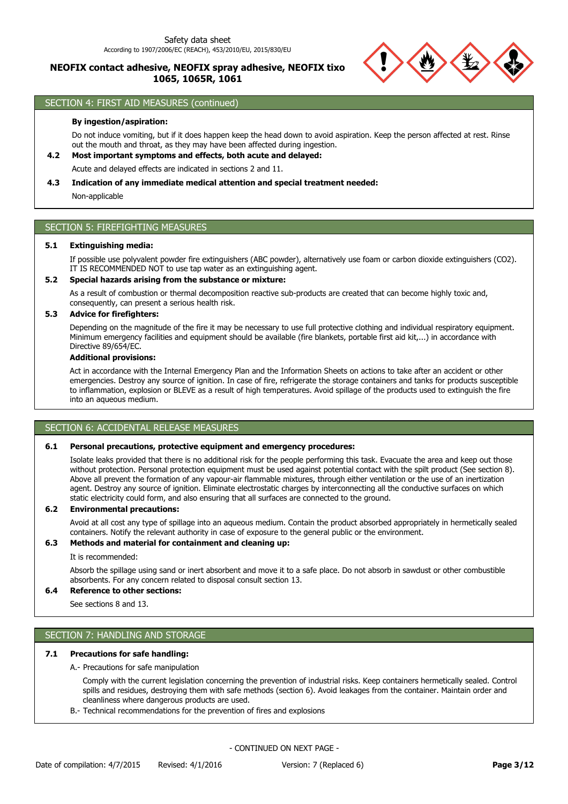

## SECTION 4: FIRST AID MEASURES (continued)

#### **By ingestion/aspiration:**

Do not induce vomiting, but if it does happen keep the head down to avoid aspiration. Keep the person affected at rest. Rinse out the mouth and throat, as they may have been affected during ingestion.

## **4.2 Most important symptoms and effects, both acute and delayed:**

Acute and delayed effects are indicated in sections 2 and 11.

### **4.3 Indication of any immediate medical attention and special treatment needed:**

Non-applicable

# SECTION 5: FIREFIGHTING MEASURES

#### **5.1 Extinguishing media:**

If possible use polyvalent powder fire extinguishers (ABC powder), alternatively use foam or carbon dioxide extinguishers (CO2). IT IS RECOMMENDED NOT to use tap water as an extinguishing agent.

#### **5.2 Special hazards arising from the substance or mixture:**

As a result of combustion or thermal decomposition reactive sub-products are created that can become highly toxic and, consequently, can present a serious health risk.

### **5.3 Advice for firefighters:**

Depending on the magnitude of the fire it may be necessary to use full protective clothing and individual respiratory equipment. Minimum emergency facilities and equipment should be available (fire blankets, portable first aid kit,...) in accordance with Directive 89/654/EC.

### **Additional provisions:**

Act in accordance with the Internal Emergency Plan and the Information Sheets on actions to take after an accident or other emergencies. Destroy any source of ignition. In case of fire, refrigerate the storage containers and tanks for products susceptible to inflammation, explosion or BLEVE as a result of high temperatures. Avoid spillage of the products used to extinguish the fire into an aqueous medium.

### SECTION 6: ACCIDENTAL RELEASE MEASURES

#### **6.1 Personal precautions, protective equipment and emergency procedures:**

Isolate leaks provided that there is no additional risk for the people performing this task. Evacuate the area and keep out those without protection. Personal protection equipment must be used against potential contact with the spilt product (See section 8). Above all prevent the formation of any vapour-air flammable mixtures, through either ventilation or the use of an inertization agent. Destroy any source of ignition. Eliminate electrostatic charges by interconnecting all the conductive surfaces on which static electricity could form, and also ensuring that all surfaces are connected to the ground.

### **6.2 Environmental precautions:**

Avoid at all cost any type of spillage into an aqueous medium. Contain the product absorbed appropriately in hermetically sealed containers. Notify the relevant authority in case of exposure to the general public or the environment.

### **6.3 Methods and material for containment and cleaning up:**

It is recommended:

Absorb the spillage using sand or inert absorbent and move it to a safe place. Do not absorb in sawdust or other combustible absorbents. For any concern related to disposal consult section 13.

# **6.4 Reference to other sections:**

See sections 8 and 13.

### SECTION 7: HANDLING AND STORAGE

### **7.1 Precautions for safe handling:**

A.- Precautions for safe manipulation

Comply with the current legislation concerning the prevention of industrial risks. Keep containers hermetically sealed. Control spills and residues, destroying them with safe methods (section 6). Avoid leakages from the container. Maintain order and cleanliness where dangerous products are used.

B.- Technical recommendations for the prevention of fires and explosions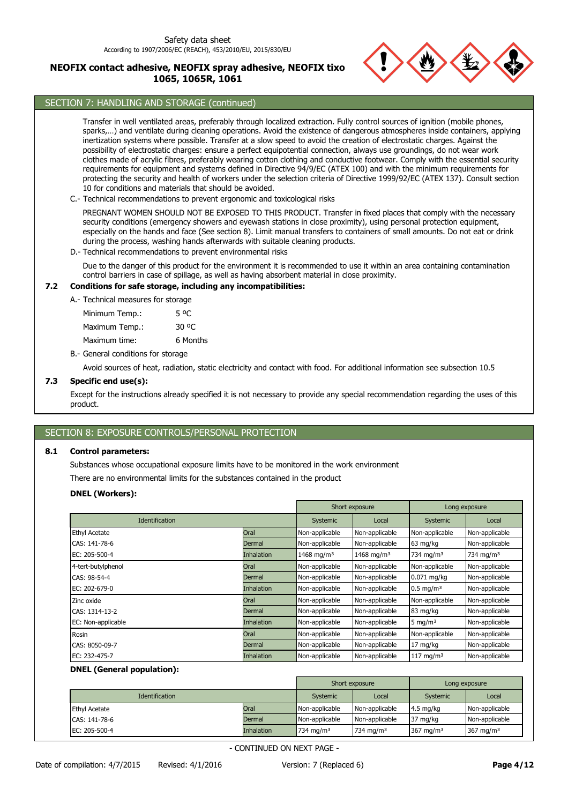

# SECTION 7: HANDLING AND STORAGE (continued)

Transfer in well ventilated areas, preferably through localized extraction. Fully control sources of ignition (mobile phones, sparks,…) and ventilate during cleaning operations. Avoid the existence of dangerous atmospheres inside containers, applying inertization systems where possible. Transfer at a slow speed to avoid the creation of electrostatic charges. Against the possibility of electrostatic charges: ensure a perfect equipotential connection, always use groundings, do not wear work clothes made of acrylic fibres, preferably wearing cotton clothing and conductive footwear. Comply with the essential security requirements for equipment and systems defined in Directive 94/9/EC (ATEX 100) and with the minimum requirements for protecting the security and health of workers under the selection criteria of Directive 1999/92/EC (ATEX 137). Consult section 10 for conditions and materials that should be avoided.

C.- Technical recommendations to prevent ergonomic and toxicological risks

PREGNANT WOMEN SHOULD NOT BE EXPOSED TO THIS PRODUCT. Transfer in fixed places that comply with the necessary security conditions (emergency showers and eyewash stations in close proximity), using personal protection equipment, especially on the hands and face (See section 8). Limit manual transfers to containers of small amounts. Do not eat or drink during the process, washing hands afterwards with suitable cleaning products.

D.- Technical recommendations to prevent environmental risks

Due to the danger of this product for the environment it is recommended to use it within an area containing contamination control barriers in case of spillage, as well as having absorbent material in close proximity.

### **7.2 Conditions for safe storage, including any incompatibilities:**

A.- Technical measures for storage

Maximum Temp.: 30 °C Minimum Temp.: 5 °C

Maximum time: 6 Months B.- General conditions for storage

Avoid sources of heat, radiation, static electricity and contact with food. For additional information see subsection 10.5

### **7.3 Specific end use(s):**

Except for the instructions already specified it is not necessary to provide any special recommendation regarding the uses of this product.

# SECTION 8: EXPOSURE CONTROLS/PERSONAL PROTECTION

### **8.1 Control parameters:**

Substances whose occupational exposure limits have to be monitored in the work environment

There are no environmental limits for the substances contained in the product

## **DNEL (Workers):**

|                       |                   |                        | Short exposure         | Long exposure           |                |
|-----------------------|-------------------|------------------------|------------------------|-------------------------|----------------|
| <b>Identification</b> |                   | Systemic               | Local                  | Systemic                | Local          |
| <b>Ethyl Acetate</b>  | Oral              | Non-applicable         | Non-applicable         | Non-applicable          | Non-applicable |
| CAS: 141-78-6         | Dermal            | Non-applicable         | Non-applicable         | $63$ mg/kg              | Non-applicable |
| EC: 205-500-4         | <b>Inhalation</b> | 1468 mg/m <sup>3</sup> | 1468 mg/m <sup>3</sup> | 734 mg/m <sup>3</sup>   | 734 mg/m $3$   |
| 4-tert-butylphenol    | Oral              | Non-applicable         | Non-applicable         | Non-applicable          | Non-applicable |
| CAS: 98-54-4          | Dermal            | Non-applicable         | Non-applicable         | $0.071$ mg/kg           | Non-applicable |
| EC: 202-679-0         | <b>Inhalation</b> | Non-applicable         | Non-applicable         | $0.5 \,\mathrm{mg/m^3}$ | Non-applicable |
| Zinc oxide            | Oral              | Non-applicable         | Non-applicable         | Non-applicable          | Non-applicable |
| CAS: 1314-13-2        | Dermal            | Non-applicable         | Non-applicable         | 83 mg/kg                | Non-applicable |
| EC: Non-applicable    | <b>Inhalation</b> | Non-applicable         | Non-applicable         | 5 mg/m $3$              | Non-applicable |
| Rosin                 | Oral              | Non-applicable         | Non-applicable         | Non-applicable          | Non-applicable |
| CAS: 8050-09-7        | Dermal            | Non-applicable         | Non-applicable         | $17 \text{ mg/kg}$      | Non-applicable |
| EC: 232-475-7         | Inhalation        | Non-applicable         | Non-applicable         | $117$ mg/m <sup>3</sup> | Non-applicable |

### **DNEL (General population):**

|                       |                   | Short exposure        |                       | Long exposure        |                      |
|-----------------------|-------------------|-----------------------|-----------------------|----------------------|----------------------|
| <b>Identification</b> |                   | Systemic              | Local                 | Systemic             | Local                |
| <b>Ethyl Acetate</b>  | Oral              | Non-applicable        | Non-applicable        | $4.5 \text{ mg/kg}$  | Non-applicable       |
| CAS: 141-78-6         | Dermal            | Non-applicable        | Non-applicable        | 37 mg/kg             | Non-applicable       |
| EC: 205-500-4         | <b>Inhalation</b> | 734 mg/m <sup>3</sup> | 734 mg/m <sup>3</sup> | $367 \text{ mg/m}^3$ | $367 \text{ mg/m}^3$ |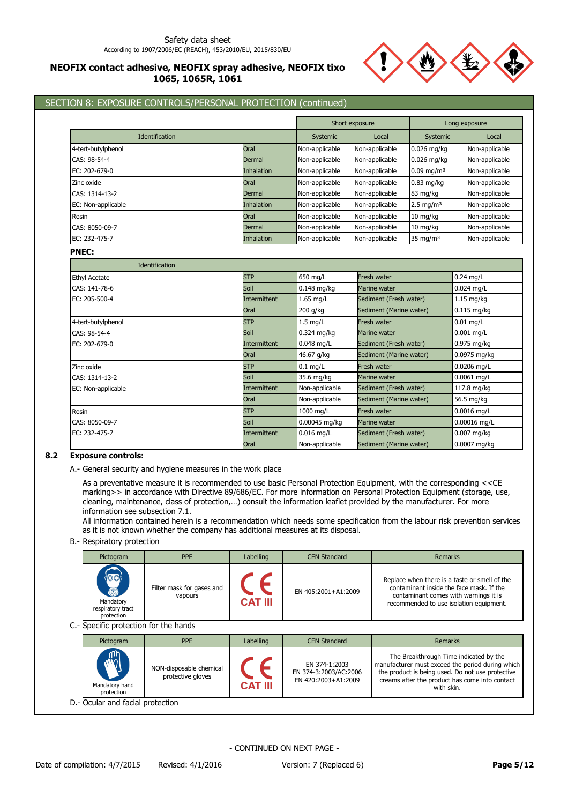

# SECTION 8: EXPOSURE CONTROLS/PERSONAL PROTECTION (continued)

|                       |                   |                | Short exposure | Long exposure            |                |
|-----------------------|-------------------|----------------|----------------|--------------------------|----------------|
| <b>Identification</b> |                   | Systemic       | Local          | Systemic                 | Local          |
| 4-tert-butylphenol    | Oral              | Non-applicable | Non-applicable | 0.026 mg/kg              | Non-applicable |
| CAS: 98-54-4          | Dermal            | Non-applicable | Non-applicable | $0.026$ mg/kg            | Non-applicable |
| EC: 202-679-0         | Inhalation        | Non-applicable | Non-applicable | $0.09$ mg/m <sup>3</sup> | Non-applicable |
| Zinc oxide            | Oral              | Non-applicable | Non-applicable | $0.83$ mg/kg             | Non-applicable |
| CAS: 1314-13-2        | Dermal            | Non-applicable | Non-applicable | 83 mg/kg                 | Non-applicable |
| EC: Non-applicable    | <b>Inhalation</b> | Non-applicable | Non-applicable | $2.5 \text{ mg/m}^3$     | Non-applicable |
| Rosin                 | Oral              | Non-applicable | Non-applicable | $10 \text{ mg/kg}$       | Non-applicable |
| CAS: 8050-09-7        | Dermal            | Non-applicable | Non-applicable | $10 \text{ mg/kg}$       | Non-applicable |
| EC: 232-475-7         | Inhalation        | Non-applicable | Non-applicable | $35 \text{ mg/m}^3$      | Non-applicable |

#### **PNEC:**

| <b>Identification</b> |              |                |                         |               |
|-----------------------|--------------|----------------|-------------------------|---------------|
| Ethyl Acetate         | <b>STP</b>   | 650 mg/L       | Fresh water             | $0.24$ mg/L   |
| CAS: 141-78-6         | Soil         | $0.148$ mg/kg  | Marine water            | 0.024 mg/L    |
| EC: 205-500-4         | Intermittent | 1.65 mg/L      | Sediment (Fresh water)  | $1.15$ mg/kg  |
|                       | Oral         | 200 g/kg       | Sediment (Marine water) | $0.115$ mg/kg |
| 4-tert-butylphenol    | <b>STP</b>   | $1.5$ mg/L     | Fresh water             | $0.01$ mg/L   |
| CAS: 98-54-4          | Soil         | 0.324 mg/kg    | Marine water            | $0.001$ mg/L  |
| EC: 202-679-0         | Intermittent | 0.048 mg/L     | Sediment (Fresh water)  | 0.975 mg/kg   |
|                       | Oral         | 46.67 g/kg     | Sediment (Marine water) | 0.0975 mg/kg  |
| Zinc oxide            | <b>STP</b>   | $0.1$ mg/L     | Fresh water             | 0.0206 mg/L   |
| CAS: 1314-13-2        | Soil         | 35.6 mg/kg     | Marine water            | $0.0061$ mg/L |
| EC: Non-applicable    | Intermittent | Non-applicable | Sediment (Fresh water)  | 117.8 mg/kg   |
|                       | Oral         | Non-applicable | Sediment (Marine water) | 56.5 mg/kg    |
| Rosin                 | <b>STP</b>   | 1000 mg/L      | Fresh water             | 0.0016 mg/L   |
| CAS: 8050-09-7        | Soil         | 0.00045 mg/kg  | Marine water            | 0.00016 mg/L  |
| EC: 232-475-7         | Intermittent | $0.016$ mg/L   | Sediment (Fresh water)  | $0.007$ mg/kg |
|                       | Oral         | Non-applicable | Sediment (Marine water) | 0.0007 mg/kg  |

### **8.2 Exposure controls:**

A.- General security and hygiene measures in the work place

As a preventative measure it is recommended to use basic Personal Protection Equipment, with the corresponding <<CE marking>> in accordance with Directive 89/686/EC. For more information on Personal Protection Equipment (storage, use, cleaning, maintenance, class of protection,…) consult the information leaflet provided by the manufacturer. For more information see subsection 7.1.

All information contained herein is a recommendation which needs some specification from the labour risk prevention services as it is not known whether the company has additional measures at its disposal.

### B.- Respiratory protection

| Pictogram                                                        | <b>PPE</b>                                   | Labelling                    | <b>CEN Standard</b>                                           | <b>Remarks</b>                                                                                                                                                                                                 |
|------------------------------------------------------------------|----------------------------------------------|------------------------------|---------------------------------------------------------------|----------------------------------------------------------------------------------------------------------------------------------------------------------------------------------------------------------------|
| <b>YOO!</b><br>æ<br>Mandatory<br>respiratory tract<br>protection | Filter mask for gases and<br>vapours         | $\epsilon$<br><b>CAT III</b> | EN 405:2001+A1:2009                                           | Replace when there is a taste or smell of the<br>contaminant inside the face mask. If the<br>contaminant comes with warnings it is<br>recommended to use isolation equipment.                                  |
| C.- Specific protection for the hands                            |                                              |                              |                                                               |                                                                                                                                                                                                                |
| Pictogram                                                        | <b>PPE</b>                                   | Labelling                    | <b>CEN Standard</b>                                           | <b>Remarks</b>                                                                                                                                                                                                 |
| Mandatory hand<br>protection                                     | NON-disposable chemical<br>protective gloves | <b>CAT III</b>               | EN 374-1:2003<br>EN 374-3:2003/AC:2006<br>EN 420:2003+A1:2009 | The Breakthrough Time indicated by the<br>manufacturer must exceed the period during which<br>the product is being used. Do not use protective<br>creams after the product has come into contact<br>with skin. |

D.- Ocular and facial protection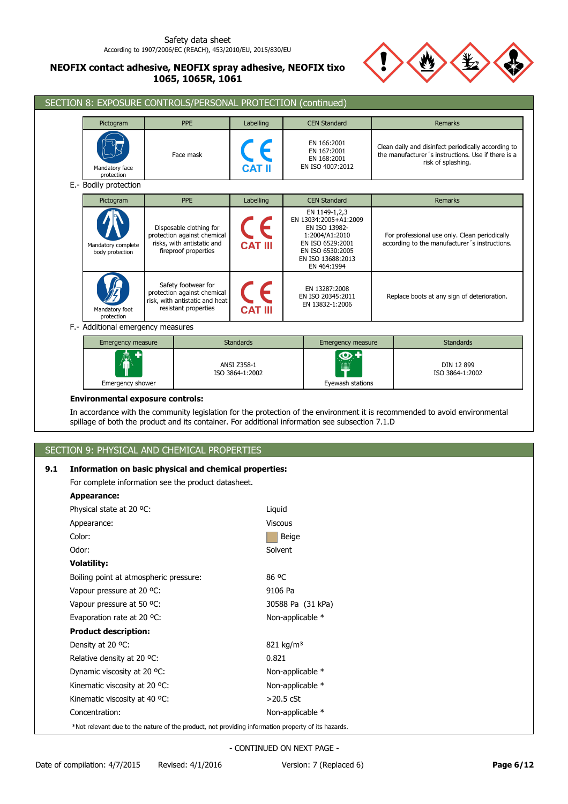

|                                         | Pictogram                             | <b>PPE</b>                                                                                                   | Labelling                      | <b>CEN Standard</b>                                                                                                                                   |  | <b>Remarks</b>                                                                                                                  |  |
|-----------------------------------------|---------------------------------------|--------------------------------------------------------------------------------------------------------------|--------------------------------|-------------------------------------------------------------------------------------------------------------------------------------------------------|--|---------------------------------------------------------------------------------------------------------------------------------|--|
|                                         | Mandatory face<br>protection          | Face mask                                                                                                    | CE<br><b>CAT II</b>            | EN 166:2001<br>EN 167:2001<br>EN 168:2001<br>EN ISO 4007:2012                                                                                         |  | Clean daily and disinfect periodically according to<br>the manufacturer's instructions. Use if there is a<br>risk of splashing. |  |
|                                         | E.- Bodily protection                 |                                                                                                              |                                |                                                                                                                                                       |  |                                                                                                                                 |  |
|                                         | Pictogram                             | <b>PPE</b>                                                                                                   | Labelling                      | <b>CEN Standard</b>                                                                                                                                   |  | <b>Remarks</b>                                                                                                                  |  |
|                                         | Mandatory complete<br>body protection | Disposable clothing for<br>protection against chemical<br>risks, with antistatic and<br>fireproof properties | $\epsilon$<br><b>CAT III</b>   | EN 1149-1,2,3<br>EN 13034:2005+A1:2009<br>EN ISO 13982-<br>1:2004/A1:2010<br>EN ISO 6529:2001<br>EN ISO 6530:2005<br>EN ISO 13688:2013<br>EN 464:1994 |  | For professional use only. Clean periodically<br>according to the manufacturer's instructions.                                  |  |
|                                         | Mandatory foot<br>protection          | Safety footwear for<br>protection against chemical<br>risk, with antistatic and heat<br>resistant properties | $\epsilon$<br><b>CAT III</b>   | EN 13287:2008<br>EN ISO 20345:2011<br>EN 13832-1:2006                                                                                                 |  | Replace boots at any sign of deterioration.                                                                                     |  |
|                                         | F.- Additional emergency measures     |                                                                                                              |                                |                                                                                                                                                       |  |                                                                                                                                 |  |
|                                         | <b>Emergency measure</b>              |                                                                                                              | <b>Standards</b>               | <b>Emergency measure</b>                                                                                                                              |  | <b>Standards</b>                                                                                                                |  |
|                                         | Emergency shower                      |                                                                                                              | ANSI Z358-1<br>ISO 3864-1:2002 | Eyewash stations                                                                                                                                      |  | DIN 12 899<br>ISO 3864-1:2002                                                                                                   |  |
| <b>Environmental exposure controls:</b> |                                       |                                                                                                              |                                |                                                                                                                                                       |  |                                                                                                                                 |  |

# SECTION 9: PHYSICAL AND CHEMICAL PROPERTIES

## **9.1 Information on basic physical and chemical properties:**

For complete information see the product datasheet.

## **Appearance:**

| Physical state at 20 °C:                                                                           | Liquid                |
|----------------------------------------------------------------------------------------------------|-----------------------|
| Appearance:                                                                                        | <b>Viscous</b>        |
| Color:                                                                                             | Beige                 |
| Odor:                                                                                              | Solvent               |
| <b>Volatility:</b>                                                                                 |                       |
| Boiling point at atmospheric pressure:                                                             | 86 °C                 |
| Vapour pressure at 20 °C:                                                                          | 9106 Pa               |
| Vapour pressure at 50 °C:                                                                          | 30588 Pa (31 kPa)     |
| Evaporation rate at 20 °C:                                                                         | Non-applicable *      |
| <b>Product description:</b>                                                                        |                       |
| Density at 20 °C:                                                                                  | 821 kg/m <sup>3</sup> |
| Relative density at 20 °C.                                                                         | 0.821                 |
| Dynamic viscosity at 20 °C:                                                                        | Non-applicable *      |
| Kinematic viscosity at 20 °C:                                                                      | Non-applicable *      |
| Kinematic viscosity at 40 °C:                                                                      | $>$ 20.5 cSt          |
| Concentration:                                                                                     | Non-applicable *      |
| *Not relevant due to the nature of the product, not providing information property of its hazards. |                       |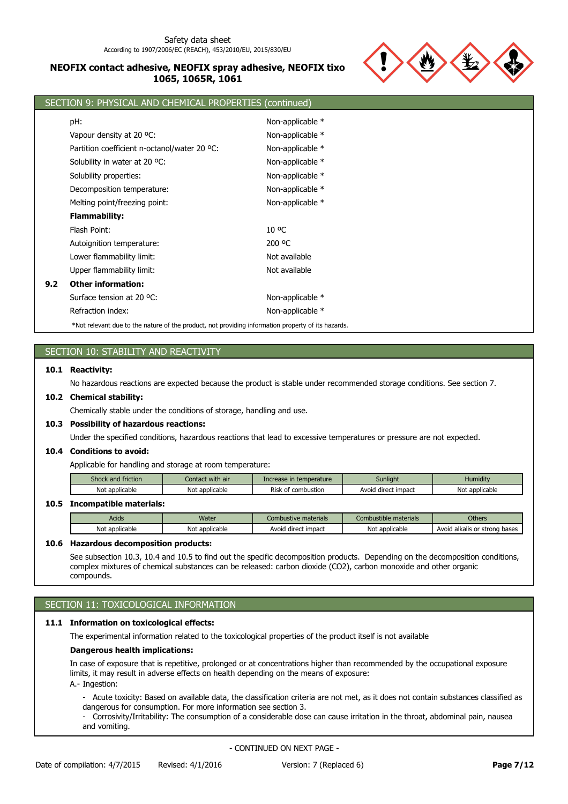

|     | SECTION 9: PHYSICAL AND CHEMICAL PROPERTIES (continued)                                            |                  |
|-----|----------------------------------------------------------------------------------------------------|------------------|
|     | pH:                                                                                                | Non-applicable * |
|     | Vapour density at 20 °C:                                                                           | Non-applicable * |
|     | Partition coefficient n-octanol/water 20 °C:                                                       | Non-applicable * |
|     | Solubility in water at 20 °C:                                                                      | Non-applicable * |
|     | Solubility properties:                                                                             | Non-applicable * |
|     | Decomposition temperature:                                                                         | Non-applicable * |
|     | Melting point/freezing point:                                                                      | Non-applicable * |
|     | <b>Flammability:</b>                                                                               |                  |
|     | Flash Point:                                                                                       | 10 °C            |
|     | Autoignition temperature:                                                                          | 200 °C           |
|     | Lower flammability limit:                                                                          | Not available    |
|     | Upper flammability limit:                                                                          | Not available    |
| 9.2 | <b>Other information:</b>                                                                          |                  |
|     | Surface tension at 20 °C:                                                                          | Non-applicable * |
|     | Refraction index:                                                                                  | Non-applicable * |
|     | *Not relevant due to the nature of the product, not providing information property of its hazards. |                  |

# SECTION 10: STABILITY AND REACTIVITY

### **10.1 Reactivity:**

No hazardous reactions are expected because the product is stable under recommended storage conditions. See section 7.

#### **10.2 Chemical stability:**

Chemically stable under the conditions of storage, handling and use.

### **10.3 Possibility of hazardous reactions:**

Under the specified conditions, hazardous reactions that lead to excessive temperatures or pressure are not expected.

### **10.4 Conditions to avoid:**

Applicable for handling and storage at room temperature:

| Shock and friction      | Contact with air | Increase in temperature | <b>Sunlight</b>     | <b>Humidity</b> |  |  |  |  |
|-------------------------|------------------|-------------------------|---------------------|-----------------|--|--|--|--|
| Not applicable          | Not applicable   | Risk of combustion      | Avoid direct impact | Not applicable  |  |  |  |  |
| Tecomentible motoriale: |                  |                         |                     |                 |  |  |  |  |

### **10.5 Incompatible materials:**

| Acids          | <b>Water</b>            | : materials<br>ombustive | : materials<br>combustible | Others           |
|----------------|-------------------------|--------------------------|----------------------------|------------------|
| Not applicable | applicable <sup>.</sup> | ' direct impact          | Not.                       | Avoid alkalis or |
|                | Not.                    | Avoid                    | t applicable               | or strong bases  |

#### **10.6 Hazardous decomposition products:**

See subsection 10.3, 10.4 and 10.5 to find out the specific decomposition products. Depending on the decomposition conditions, complex mixtures of chemical substances can be released: carbon dioxide (CO2), carbon monoxide and other organic compounds.

# SECTION 11: TOXICOLOGICAL INFORMATION

### **11.1 Information on toxicological effects:**

The experimental information related to the toxicological properties of the product itself is not available

#### **Dangerous health implications:**

In case of exposure that is repetitive, prolonged or at concentrations higher than recommended by the occupational exposure limits, it may result in adverse effects on health depending on the means of exposure:

A.- Ingestion:

- Acute toxicity: Based on available data, the classification criteria are not met, as it does not contain substances classified as dangerous for consumption. For more information see section 3.
- Corrosivity/Irritability: The consumption of a considerable dose can cause irritation in the throat, abdominal pain, nausea and vomiting.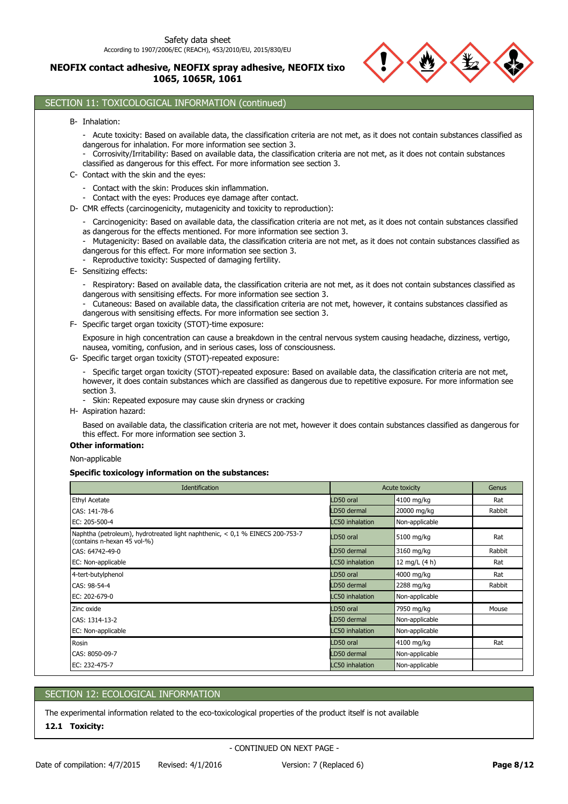

### SECTION 11: TOXICOLOGICAL INFORMATION (continued)

- B- Inhalation:
	- Acute toxicity: Based on available data, the classification criteria are not met, as it does not contain substances classified as dangerous for inhalation. For more information see section 3.
	- Corrosivity/Irritability: Based on available data, the classification criteria are not met, as it does not contain substances classified as dangerous for this effect. For more information see section 3.
- C- Contact with the skin and the eyes:
	- Contact with the skin: Produces skin inflammation.
	- Contact with the eyes: Produces eye damage after contact.
- D- CMR effects (carcinogenicity, mutagenicity and toxicity to reproduction):
	- Carcinogenicity: Based on available data, the classification criteria are not met, as it does not contain substances classified as dangerous for the effects mentioned. For more information see section 3.
	- Mutagenicity: Based on available data, the classification criteria are not met, as it does not contain substances classified as dangerous for this effect. For more information see section 3.
	- Reproductive toxicity: Suspected of damaging fertility.
- E- Sensitizing effects:

- Respiratory: Based on available data, the classification criteria are not met, as it does not contain substances classified as dangerous with sensitising effects. For more information see section 3.

- Cutaneous: Based on available data, the classification criteria are not met, however, it contains substances classified as dangerous with sensitising effects. For more information see section 3.
- F- Specific target organ toxicity (STOT)-time exposure:

Exposure in high concentration can cause a breakdown in the central nervous system causing headache, dizziness, vertigo, nausea, vomiting, confusion, and in serious cases, loss of consciousness.

G- Specific target organ toxicity (STOT)-repeated exposure:

- Specific target organ toxicity (STOT)-repeated exposure: Based on available data, the classification criteria are not met, however, it does contain substances which are classified as dangerous due to repetitive exposure. For more information see section 3.

- Skin: Repeated exposure may cause skin dryness or cracking
- H- Aspiration hazard:

Based on available data, the classification criteria are not met, however it does contain substances classified as dangerous for this effect. For more information see section 3.

### **Other information:**

Non-applicable

#### **Specific toxicology information on the substances:**

| <b>Identification</b>                                                                                       |                 | Acute toxicity | Genus  |
|-------------------------------------------------------------------------------------------------------------|-----------------|----------------|--------|
| <b>Ethyl Acetate</b>                                                                                        | LD50 oral       | 4100 mg/kg     | Rat    |
| CAS: 141-78-6                                                                                               | LD50 dermal     | 20000 mg/kg    | Rabbit |
| EC: 205-500-4                                                                                               | LC50 inhalation | Non-applicable |        |
| Naphtha (petroleum), hydrotreated light naphthenic, < 0,1 % EINECS 200-753-7<br>(contains n-hexan 45 vol-%) | LD50 oral       | 5100 mg/kg     | Rat    |
| CAS: 64742-49-0                                                                                             | LD50 dermal     | 3160 mg/kg     | Rabbit |
| EC: Non-applicable                                                                                          | LC50 inhalation | 12 mg/L (4 h)  | Rat    |
| 4-tert-butylphenol                                                                                          | LD50 oral       | 4000 mg/kg     | Rat    |
| CAS: 98-54-4                                                                                                | LD50 dermal     | 2288 mg/kg     | Rabbit |
| EC: 202-679-0                                                                                               | LC50 inhalation | Non-applicable |        |
| Zinc oxide                                                                                                  | LD50 oral       | 7950 mg/kg     | Mouse  |
| CAS: 1314-13-2                                                                                              | LD50 dermal     | Non-applicable |        |
| EC: Non-applicable                                                                                          | LC50 inhalation | Non-applicable |        |
| Rosin                                                                                                       | LD50 oral       | 4100 mg/kg     | Rat    |
| CAS: 8050-09-7                                                                                              | LD50 dermal     | Non-applicable |        |
| EC: 232-475-7                                                                                               | LC50 inhalation | Non-applicable |        |

### SECTION 12: ECOLOGICAL INFORMATION

The experimental information related to the eco-toxicological properties of the product itself is not available

### **12.1 Toxicity:**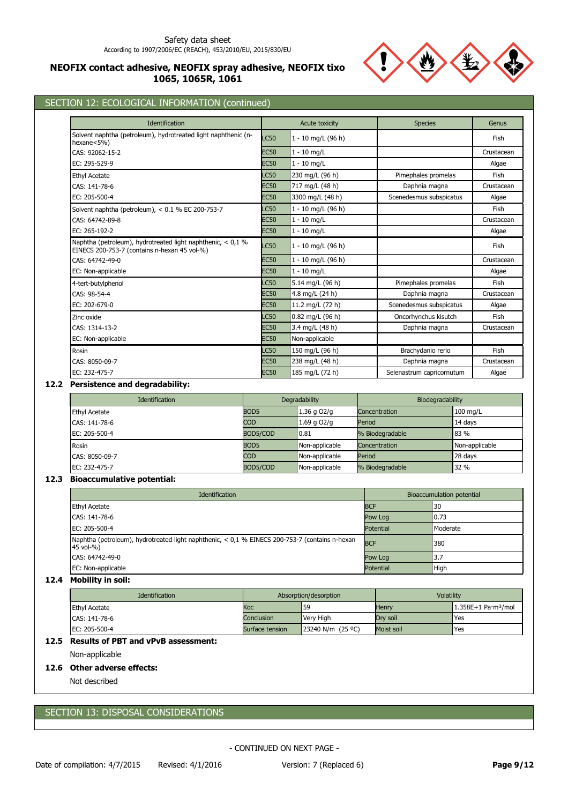

# SECTION 12: ECOLOGICAL INFORMATION (continued)

| <b>Identification</b>                                                                                         |             | Acute toxicity       | <b>Species</b>            | Genus      |
|---------------------------------------------------------------------------------------------------------------|-------------|----------------------|---------------------------|------------|
| Solvent naphtha (petroleum), hydrotreated light naphthenic (n-<br>hexane<5%)                                  | <b>LC50</b> | $1 - 10$ mg/L (96 h) |                           | Fish       |
| CAS: 92062-15-2                                                                                               | <b>EC50</b> | $1 - 10$ ma/L        |                           | Crustacean |
| EC: 295-529-9                                                                                                 | <b>EC50</b> | $1 - 10$ mg/L        |                           | Algae      |
| <b>Ethyl Acetate</b>                                                                                          | <b>LC50</b> | 230 mg/L (96 h)      | Pimephales promelas       | Fish       |
| CAS: 141-78-6                                                                                                 | <b>EC50</b> | 717 mg/L (48 h)      | Daphnia magna             | Crustacean |
| EC: 205-500-4                                                                                                 | <b>EC50</b> | 3300 mg/L (48 h)     | Scenedesmus subspicatus   | Algae      |
| Solvent naphtha (petroleum), < 0.1 % EC 200-753-7                                                             | <b>LC50</b> | 1 - 10 mg/L (96 h)   |                           | Fish       |
| CAS: 64742-89-8                                                                                               | <b>EC50</b> | $1 - 10$ mg/L        |                           | Crustacean |
| EC: 265-192-2                                                                                                 | <b>EC50</b> | $1 - 10$ mg/L        |                           | Algae      |
| Naphtha (petroleum), hydrotreated light naphthenic, $< 0.1$ %<br>EINECS 200-753-7 (contains n-hexan 45 vol-%) | <b>LC50</b> | $1 - 10$ mg/L (96 h) |                           | Fish       |
| CAS: 64742-49-0                                                                                               | <b>EC50</b> | 1 - 10 mg/L (96 h)   |                           | Crustacean |
| EC: Non-applicable                                                                                            | <b>EC50</b> | $1 - 10$ mg/L        |                           | Algae      |
| 4-tert-butylphenol                                                                                            | <b>LC50</b> | 5.14 mg/L (96 h)     | Pimephales promelas       | Fish       |
| CAS: 98-54-4                                                                                                  | <b>EC50</b> | 4.8 mg/L (24 h)      | Daphnia magna             | Crustacean |
| EC: 202-679-0                                                                                                 | <b>EC50</b> | 11.2 mg/L (72 h)     | Scenedesmus subspicatus   | Algae      |
| Zinc oxide                                                                                                    | <b>LC50</b> | 0.82 mg/L (96 h)     | Oncorhynchus kisutch      | Fish       |
| CAS: 1314-13-2                                                                                                | <b>EC50</b> | 3.4 mg/L (48 h)      | Daphnia magna             | Crustacean |
| EC: Non-applicable                                                                                            | <b>EC50</b> | Non-applicable       |                           |            |
| Rosin                                                                                                         | LC50        | 150 mg/L (96 h)      | Brachydanio rerio         | Fish       |
| CAS: 8050-09-7                                                                                                | <b>EC50</b> | 238 mg/L (48 h)      | Daphnia magna             | Crustacean |
| EC: 232-475-7                                                                                                 | <b>EC50</b> | 185 mg/L (72 h)      | Selenastrum capricornutum | Algae      |

# **12.2 Persistence and degradability:**

| <b>Identification</b> | Degradability    |                | Biodegradability |                |
|-----------------------|------------------|----------------|------------------|----------------|
| Ethyl Acetate         | BOD <sub>5</sub> | 1.36 g $O2/g$  | Concentration    | $100$ mg/L     |
| CAS: 141-78-6         | <b>COD</b>       | 1.69 g $O2/g$  | Period           | 14 days        |
| EC: 205-500-4         | BOD5/COD         | 0.81           | % Biodegradable  | 83 %           |
| Rosin                 | BOD <sub>5</sub> | Non-applicable | Concentration    | Non-applicable |
| CAS: 8050-09-7        | <b>COD</b>       | Non-applicable | Period           | 28 days        |
| EC: 232-475-7         | BOD5/COD         | Non-applicable | % Biodegradable  | 32 %           |

#### **12.3 Bioaccumulative potential:**

| <b>Identification</b>                                                                                       | Bioaccumulation potential |          |
|-------------------------------------------------------------------------------------------------------------|---------------------------|----------|
| <b>Ethyl Acetate</b>                                                                                        | <b>BCF</b>                | 30       |
| CAS: 141-78-6                                                                                               | Pow Log                   | 0.73     |
| EC: 205-500-4                                                                                               | <b>Potential</b>          | Moderate |
| Naphtha (petroleum), hydrotreated light naphthenic, < 0,1 % EINECS 200-753-7 (contains n-hexan<br>45 vol-%) | <b>BCF</b>                | 380      |
| CAS: 64742-49-0                                                                                             | Pow Log                   | 3.7      |
| EC: Non-applicable                                                                                          | Potential                 | High     |

### **12.4 Mobility in soil:**

| <b>Identification</b> | Absorption/desorption |                   | Volatility |                                           |
|-----------------------|-----------------------|-------------------|------------|-------------------------------------------|
| <b>Ethyl Acetate</b>  | Koc                   | 59                | Henry      | $1.358E+1$ Pa $\cdot$ m <sup>3</sup> /mol |
| CAS: 141-78-6         | Conclusion            | Very High         | Drv soil   | Yes                                       |
| EC: 205-500-4         | Surface tension       | 23240 N/m (25 °C) | Moist soil | Yes                                       |

### **12.5 Results of PBT and vPvB assessment:**

Non-applicable

# **12.6 Other adverse effects:**

Not described

# SECTION 13: DISPOSAL CONSIDERATIONS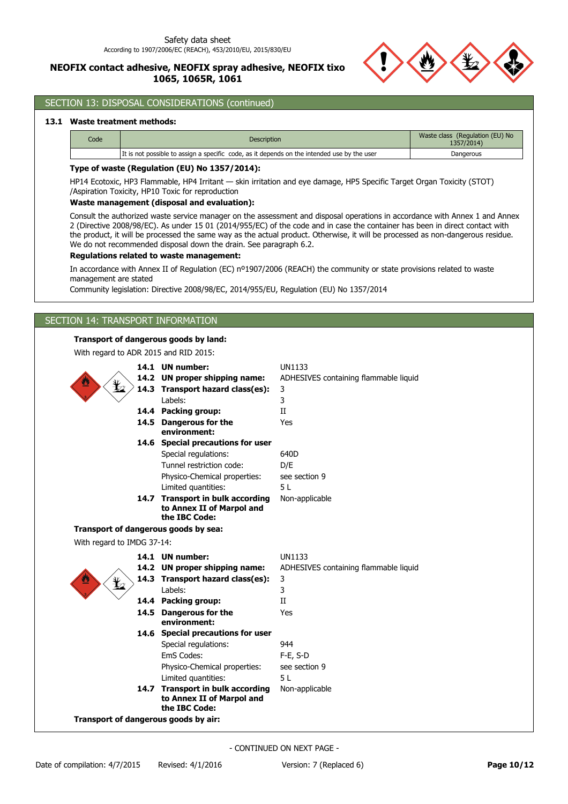

# SECTION 13: DISPOSAL CONSIDERATIONS (continued)

#### **13.1 Waste treatment methods:**

| Code | <b>Description</b>                                                                          | Waste class (Regulation (EU) No<br>1357/2014) |
|------|---------------------------------------------------------------------------------------------|-----------------------------------------------|
|      | It is not possible to assign a specific code, as it depends on the intended use by the user | Dangerous                                     |

#### **Type of waste (Regulation (EU) No 1357/2014):**

HP14 Ecotoxic, HP3 Flammable, HP4 Irritant — skin irritation and eye damage, HP5 Specific Target Organ Toxicity (STOT) /Aspiration Toxicity, HP10 Toxic for reproduction

#### **Waste management (disposal and evaluation):**

Consult the authorized waste service manager on the assessment and disposal operations in accordance with Annex 1 and Annex 2 (Directive 2008/98/EC). As under 15 01 (2014/955/EC) of the code and in case the container has been in direct contact with the product, it will be processed the same way as the actual product. Otherwise, it will be processed as non-dangerous residue. We do not recommended disposal down the drain. See paragraph 6.2.

### **Regulations related to waste management:**

In accordance with Annex II of Regulation (EC) nº1907/2006 (REACH) the community or state provisions related to waste management are stated

Community legislation: Directive 2008/98/EC, 2014/955/EU, Regulation (EU) No 1357/2014

### SECTION 14: TRANSPORT INFORMATION

## **Transport of dangerous goods by land:**

With regard to ADR 2015 and RID 2015:

| t                                    | 14.1 UN number:<br>14.2 UN proper shipping name:<br>14.3 Transport hazard class(es):<br>Labels:<br>14.4 Packing group:<br>14.5 Dangerous for the<br>environment: | <b>UN1133</b><br>ADHESIVES containing flammable liquid<br>3<br>3<br>II<br>Yes |  |  |  |
|--------------------------------------|------------------------------------------------------------------------------------------------------------------------------------------------------------------|-------------------------------------------------------------------------------|--|--|--|
|                                      | 14.6 Special precautions for user                                                                                                                                |                                                                               |  |  |  |
|                                      | Special regulations:                                                                                                                                             | 640D                                                                          |  |  |  |
|                                      | Tunnel restriction code:                                                                                                                                         | D/E                                                                           |  |  |  |
|                                      | Physico-Chemical properties:                                                                                                                                     | see section 9                                                                 |  |  |  |
|                                      | Limited quantities:                                                                                                                                              | 5L                                                                            |  |  |  |
|                                      | 14.7 Transport in bulk according<br>to Annex II of Marpol and<br>the IBC Code:                                                                                   | Non-applicable                                                                |  |  |  |
| Transport of dangerous goods by sea: |                                                                                                                                                                  |                                                                               |  |  |  |
| With regard to IMDG 37-14:           |                                                                                                                                                                  |                                                                               |  |  |  |
|                                      | 14.1 UN number:                                                                                                                                                  | <b>UN1133</b>                                                                 |  |  |  |
|                                      | 14.2 UN proper shipping name:                                                                                                                                    | ADHESIVES containing flammable liquid                                         |  |  |  |
|                                      | 14.3 Transport hazard class(es):                                                                                                                                 | 3                                                                             |  |  |  |
|                                      | Labels:                                                                                                                                                          | 3                                                                             |  |  |  |
|                                      | 14.4 Packing group:                                                                                                                                              | II                                                                            |  |  |  |
|                                      | 14.5 Dangerous for the<br>environment:                                                                                                                           | Yes                                                                           |  |  |  |
|                                      | 14.6 Special precautions for user                                                                                                                                |                                                                               |  |  |  |
|                                      | Special regulations:                                                                                                                                             | 944                                                                           |  |  |  |
|                                      | EmS Codes:                                                                                                                                                       | $F-E, S-D$                                                                    |  |  |  |
|                                      | Physico-Chemical properties:                                                                                                                                     | see section 9                                                                 |  |  |  |
|                                      | Limited quantities:                                                                                                                                              | 5 L                                                                           |  |  |  |
|                                      | 14.7 Transport in bulk according<br>to Annex II of Marpol and<br>the IBC Code:                                                                                   | Non-applicable                                                                |  |  |  |
| Transport of dangerous goods by air: |                                                                                                                                                                  |                                                                               |  |  |  |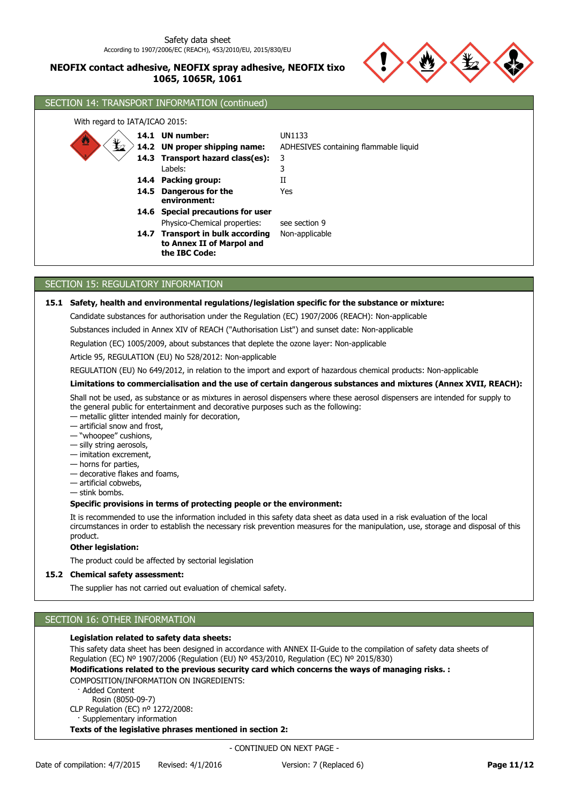

| SECTION 14: TRANSPORT INFORMATION (continued)                                  |                                                                                  |                                       |
|--------------------------------------------------------------------------------|----------------------------------------------------------------------------------|---------------------------------------|
| With regard to IATA/ICAO 2015:                                                 |                                                                                  |                                       |
|                                                                                | 14.1 UN number:                                                                  | UN1133                                |
| $\mathbf{\mathbf{\mathbf{\mathbf{\mathbf{\mathbf{\mathbf{\mathbf{Y}}}}}}$<br>⋓ | 14.2 UN proper shipping name:                                                    | ADHESIVES containing flammable liquid |
|                                                                                | 14.3 Transport hazard class(es):                                                 | 3                                     |
|                                                                                | Labels:                                                                          | 3                                     |
|                                                                                | 14.4 Packing group:                                                              | и                                     |
| 14.5                                                                           | Dangerous for the<br>environment:                                                | Yes                                   |
|                                                                                | 14.6 Special precautions for user                                                |                                       |
|                                                                                | Physico-Chemical properties:                                                     | see section 9                         |
| 14.7                                                                           | <b>Transport in bulk according</b><br>to Annex II of Marpol and<br>the IBC Code: | Non-applicable                        |

## SECTION 15: REGULATORY INFORMATION

### **15.1 Safety, health and environmental regulations/legislation specific for the substance or mixture:**

Candidate substances for authorisation under the Regulation (EC) 1907/2006 (REACH): Non-applicable

Substances included in Annex XIV of REACH ("Authorisation List") and sunset date: Non-applicable

Regulation (EC) 1005/2009, about substances that deplete the ozone layer: Non-applicable

Article 95, REGULATION (EU) No 528/2012: Non-applicable

REGULATION (EU) No 649/2012, in relation to the import and export of hazardous chemical products: Non-applicable

#### **Limitations to commercialisation and the use of certain dangerous substances and mixtures (Annex XVII, REACH):**

Shall not be used, as substance or as mixtures in aerosol dispensers where these aerosol dispensers are intended for supply to the general public for entertainment and decorative purposes such as the following:

— metallic glitter intended mainly for decoration,

— artificial snow and frost,

- "whoopee" cushions,
- silly string aerosols,
- imitation excrement,
- horns for parties,
- decorative flakes and foams,
- artificial cobwebs,
- stink bombs.

#### **Specific provisions in terms of protecting people or the environment:**

It is recommended to use the information included in this safety data sheet as data used in a risk evaluation of the local circumstances in order to establish the necessary risk prevention measures for the manipulation, use, storage and disposal of this product.

#### **Other legislation:**

The product could be affected by sectorial legislation

### **15.2 Chemical safety assessment:**

The supplier has not carried out evaluation of chemical safety.

### SECTION 16: OTHER INFORMATION

#### **Legislation related to safety data sheets:**

This safety data sheet has been designed in accordance with ANNEX II-Guide to the compilation of safety data sheets of Regulation (EC) Nº 1907/2006 (Regulation (EU) Nº 453/2010, Regulation (EC) Nº 2015/830)

**Modifications related to the previous security card which concerns the ways of managing risks. :**

#### COMPOSITION/INFORMATION ON INGREDIENTS:

· Added Content

Rosin (8050-09-7)

CLP Regulation (EC) nº 1272/2008:

· Supplementary information

#### **Texts of the legislative phrases mentioned in section 2:**